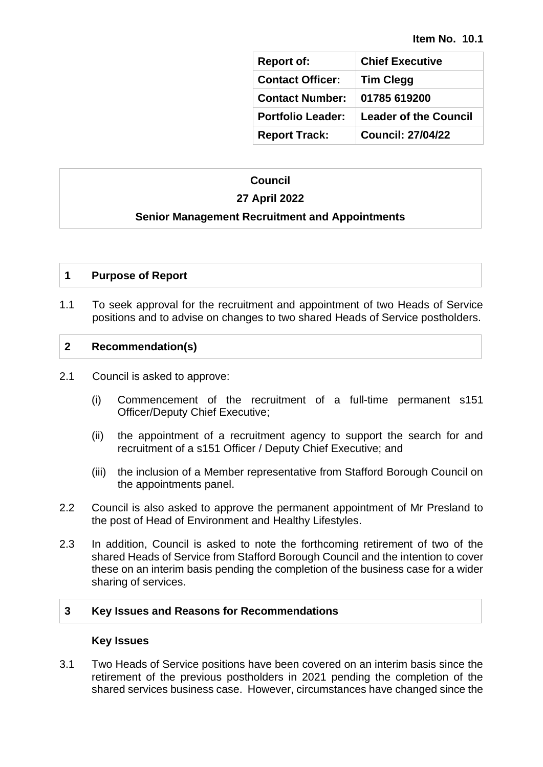| <b>Report of:</b>        | <b>Chief Executive</b>       |
|--------------------------|------------------------------|
| <b>Contact Officer:</b>  | <b>Tim Clegg</b>             |
| <b>Contact Number:</b>   | 01785 619200                 |
| <b>Portfolio Leader:</b> | <b>Leader of the Council</b> |
| <b>Report Track:</b>     | <b>Council: 27/04/22</b>     |

## **Council**

# **27 April 2022**

### **Senior Management Recruitment and Appointments**

## **1 Purpose of Report**

1.1 To seek approval for the recruitment and appointment of two Heads of Service positions and to advise on changes to two shared Heads of Service postholders.

#### **2 Recommendation(s)**

- 2.1 Council is asked to approve:
	- (i) Commencement of the recruitment of a full-time permanent s151 Officer/Deputy Chief Executive;
	- (ii) the appointment of a recruitment agency to support the search for and recruitment of a s151 Officer / Deputy Chief Executive; and
	- (iii) the inclusion of a Member representative from Stafford Borough Council on the appointments panel.
- 2.2 Council is also asked to approve the permanent appointment of Mr Presland to the post of Head of Environment and Healthy Lifestyles.
- 2.3 In addition, Council is asked to note the forthcoming retirement of two of the shared Heads of Service from Stafford Borough Council and the intention to cover these on an interim basis pending the completion of the business case for a wider sharing of services.

#### **3 Key Issues and Reasons for Recommendations**

#### **Key Issues**

3.1 Two Heads of Service positions have been covered on an interim basis since the retirement of the previous postholders in 2021 pending the completion of the shared services business case. However, circumstances have changed since the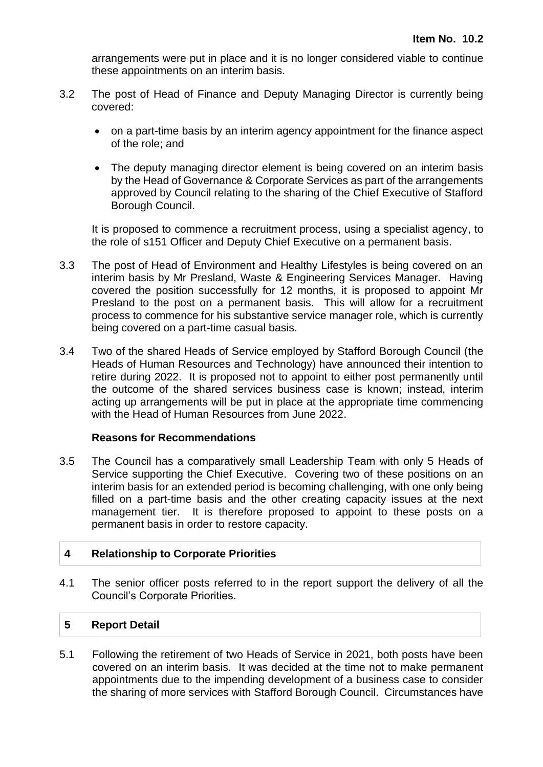arrangements were put in place and it is no longer considered viable to continue these appointments on an interim basis.

- 3.2 The post of Head of Finance and Deputy Managing Director is currently being covered:
	- on a part-time basis by an interim agency appointment for the finance aspect of the role; and
	- The deputy managing director element is being covered on an interim basis by the Head of Governance & Corporate Services as part of the arrangements approved by Council relating to the sharing of the Chief Executive of Stafford Borough Council.

It is proposed to commence a recruitment process, using a specialist agency, to the role of s151 Officer and Deputy Chief Executive on a permanent basis.

- 3.3 The post of Head of Environment and Healthy Lifestyles is being covered on an interim basis by Mr Presland, Waste & Engineering Services Manager. Having covered the position successfully for 12 months, it is proposed to appoint Mr Presland to the post on a permanent basis. This will allow for a recruitment process to commence for his substantive service manager role, which is currently being covered on a part-time casual basis.
- 3.4 Two of the shared Heads of Service employed by Stafford Borough Council (the Heads of Human Resources and Technology) have announced their intention to retire during 2022. It is proposed not to appoint to either post permanently until the outcome of the shared services business case is known; instead, interim acting up arrangements will be put in place at the appropriate time commencing with the Head of Human Resources from June 2022.

### **Reasons for Recommendations**

3.5 The Council has a comparatively small Leadership Team with only 5 Heads of Service supporting the Chief Executive. Covering two of these positions on an interim basis for an extended period is becoming challenging, with one only being filled on a part-time basis and the other creating capacity issues at the next management tier. It is therefore proposed to appoint to these posts on a permanent basis in order to restore capacity.

### **4 Relationship to Corporate Priorities**

4.1 The senior officer posts referred to in the report support the delivery of all the Council's Corporate Priorities.

### **5 Report Detail**

5.1 Following the retirement of two Heads of Service in 2021, both posts have been covered on an interim basis. It was decided at the time not to make permanent appointments due to the impending development of a business case to consider the sharing of more services with Stafford Borough Council. Circumstances have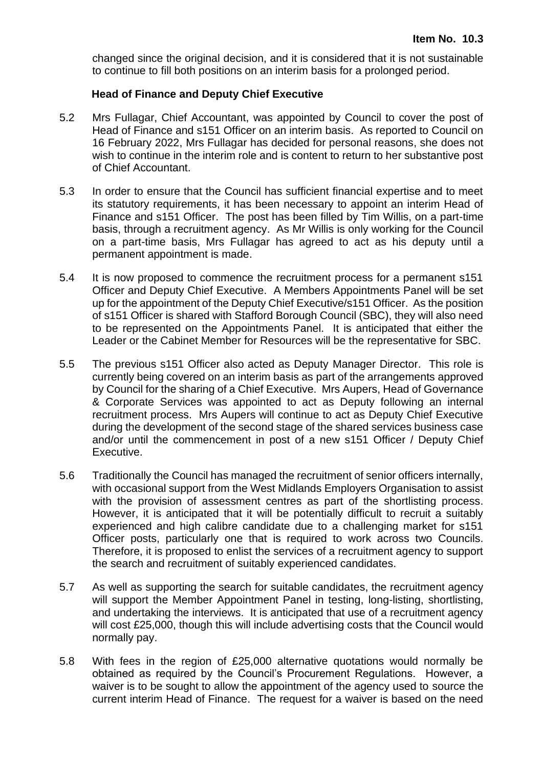changed since the original decision, and it is considered that it is not sustainable to continue to fill both positions on an interim basis for a prolonged period.

## **Head of Finance and Deputy Chief Executive**

- 5.2 Mrs Fullagar, Chief Accountant, was appointed by Council to cover the post of Head of Finance and s151 Officer on an interim basis. As reported to Council on 16 February 2022, Mrs Fullagar has decided for personal reasons, she does not wish to continue in the interim role and is content to return to her substantive post of Chief Accountant.
- 5.3 In order to ensure that the Council has sufficient financial expertise and to meet its statutory requirements, it has been necessary to appoint an interim Head of Finance and s151 Officer. The post has been filled by Tim Willis, on a part-time basis, through a recruitment agency. As Mr Willis is only working for the Council on a part-time basis, Mrs Fullagar has agreed to act as his deputy until a permanent appointment is made.
- 5.4 It is now proposed to commence the recruitment process for a permanent s151 Officer and Deputy Chief Executive. A Members Appointments Panel will be set up for the appointment of the Deputy Chief Executive/s151 Officer. As the position of s151 Officer is shared with Stafford Borough Council (SBC), they will also need to be represented on the Appointments Panel. It is anticipated that either the Leader or the Cabinet Member for Resources will be the representative for SBC.
- 5.5 The previous s151 Officer also acted as Deputy Manager Director. This role is currently being covered on an interim basis as part of the arrangements approved by Council for the sharing of a Chief Executive. Mrs Aupers, Head of Governance & Corporate Services was appointed to act as Deputy following an internal recruitment process. Mrs Aupers will continue to act as Deputy Chief Executive during the development of the second stage of the shared services business case and/or until the commencement in post of a new s151 Officer / Deputy Chief Executive.
- 5.6 Traditionally the Council has managed the recruitment of senior officers internally, with occasional support from the West Midlands Employers Organisation to assist with the provision of assessment centres as part of the shortlisting process. However, it is anticipated that it will be potentially difficult to recruit a suitably experienced and high calibre candidate due to a challenging market for s151 Officer posts, particularly one that is required to work across two Councils. Therefore, it is proposed to enlist the services of a recruitment agency to support the search and recruitment of suitably experienced candidates.
- 5.7 As well as supporting the search for suitable candidates, the recruitment agency will support the Member Appointment Panel in testing, long-listing, shortlisting, and undertaking the interviews. It is anticipated that use of a recruitment agency will cost £25,000, though this will include advertising costs that the Council would normally pay.
- 5.8 With fees in the region of £25,000 alternative quotations would normally be obtained as required by the Council's Procurement Regulations. However, a waiver is to be sought to allow the appointment of the agency used to source the current interim Head of Finance. The request for a waiver is based on the need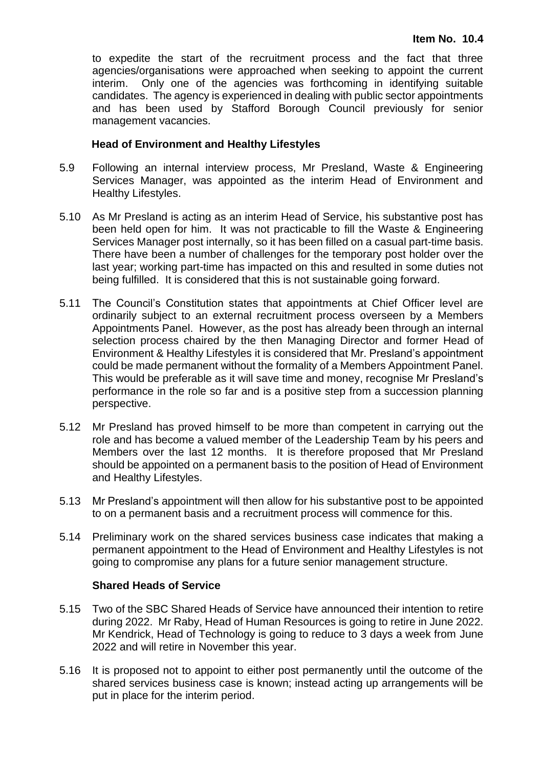to expedite the start of the recruitment process and the fact that three agencies/organisations were approached when seeking to appoint the current interim. Only one of the agencies was forthcoming in identifying suitable candidates. The agency is experienced in dealing with public sector appointments and has been used by Stafford Borough Council previously for senior management vacancies.

#### **Head of Environment and Healthy Lifestyles**

- 5.9 Following an internal interview process, Mr Presland, Waste & Engineering Services Manager, was appointed as the interim Head of Environment and Healthy Lifestyles.
- 5.10 As Mr Presland is acting as an interim Head of Service, his substantive post has been held open for him. It was not practicable to fill the Waste & Engineering Services Manager post internally, so it has been filled on a casual part-time basis. There have been a number of challenges for the temporary post holder over the last year; working part-time has impacted on this and resulted in some duties not being fulfilled. It is considered that this is not sustainable going forward.
- 5.11 The Council's Constitution states that appointments at Chief Officer level are ordinarily subject to an external recruitment process overseen by a Members Appointments Panel. However, as the post has already been through an internal selection process chaired by the then Managing Director and former Head of Environment & Healthy Lifestyles it is considered that Mr. Presland's appointment could be made permanent without the formality of a Members Appointment Panel. This would be preferable as it will save time and money, recognise Mr Presland's performance in the role so far and is a positive step from a succession planning perspective.
- 5.12 Mr Presland has proved himself to be more than competent in carrying out the role and has become a valued member of the Leadership Team by his peers and Members over the last 12 months. It is therefore proposed that Mr Presland should be appointed on a permanent basis to the position of Head of Environment and Healthy Lifestyles.
- 5.13 Mr Presland's appointment will then allow for his substantive post to be appointed to on a permanent basis and a recruitment process will commence for this.
- 5.14 Preliminary work on the shared services business case indicates that making a permanent appointment to the Head of Environment and Healthy Lifestyles is not going to compromise any plans for a future senior management structure.

#### **Shared Heads of Service**

- 5.15 Two of the SBC Shared Heads of Service have announced their intention to retire during 2022. Mr Raby, Head of Human Resources is going to retire in June 2022. Mr Kendrick, Head of Technology is going to reduce to 3 days a week from June 2022 and will retire in November this year.
- 5.16 It is proposed not to appoint to either post permanently until the outcome of the shared services business case is known; instead acting up arrangements will be put in place for the interim period.